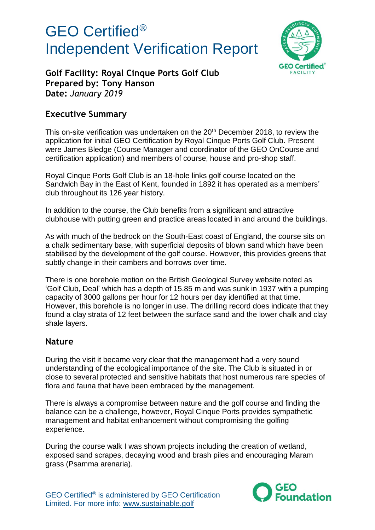

**Golf Facility: Royal Cinque Ports Golf Club Prepared by: Tony Hanson Date:** *January 2019*

### **Executive Summary**

This on-site verification was undertaken on the 20<sup>th</sup> December 2018, to review the application for initial GEO Certification by Royal Cinque Ports Golf Club. Present were James Bledge (Course Manager and coordinator of the GEO OnCourse and certification application) and members of course, house and pro-shop staff.

Royal Cinque Ports Golf Club is an 18-hole links golf course located on the Sandwich Bay in the East of Kent, founded in 1892 it has operated as a members' club throughout its 126 year history.

In addition to the course, the Club benefits from a significant and attractive clubhouse with putting green and practice areas located in and around the buildings.

As with much of the bedrock on the South-East coast of England, the course sits on a chalk sedimentary base, with superficial deposits of blown sand which have been stabilised by the development of the golf course. However, this provides greens that subtly change in their cambers and borrows over time.

There is one borehole motion on the British Geological Survey website noted as 'Golf Club, Deal' which has a depth of 15.85 m and was sunk in 1937 with a pumping capacity of 3000 gallons per hour for 12 hours per day identified at that time. However, this borehole is no longer in use. The drilling record does indicate that they found a clay strata of 12 feet between the surface sand and the lower chalk and clay shale layers.

#### **Nature**

During the visit it became very clear that the management had a very sound understanding of the ecological importance of the site. The Club is situated in or close to several protected and sensitive habitats that host numerous rare species of flora and fauna that have been embraced by the management.

There is always a compromise between nature and the golf course and finding the balance can be a challenge, however, Royal Cinque Ports provides sympathetic management and habitat enhancement without compromising the golfing experience.

During the course walk I was shown projects including the creation of wetland, exposed sand scrapes, decaying wood and brash piles and encouraging Maram grass (Psamma arenaria).

GEO Certified® is administered by GEO Certification Limited. For more info: www.sustainable.golf

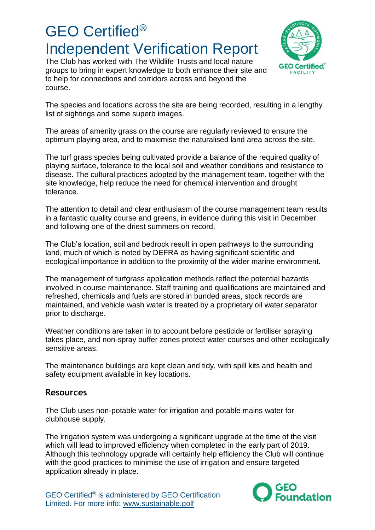The Club has worked with The Wildlife Trusts and local nature groups to bring in expert knowledge to both enhance their site and to help for connections and corridors across and beyond the course.



The species and locations across the site are being recorded, resulting in a lengthy list of sightings and some superb images.

The areas of amenity grass on the course are regularly reviewed to ensure the optimum playing area, and to maximise the naturalised land area across the site.

The turf grass species being cultivated provide a balance of the required quality of playing surface, tolerance to the local soil and weather conditions and resistance to disease. The cultural practices adopted by the management team, together with the site knowledge, help reduce the need for chemical intervention and drought tolerance.

The attention to detail and clear enthusiasm of the course management team results in a fantastic quality course and greens, in evidence during this visit in December and following one of the driest summers on record.

The Club's location, soil and bedrock result in open pathways to the surrounding land, much of which is noted by DEFRA as having significant scientific and ecological importance in addition to the proximity of the wider marine environment.

The management of turfgrass application methods reflect the potential hazards involved in course maintenance. Staff training and qualifications are maintained and refreshed, chemicals and fuels are stored in bunded areas, stock records are maintained, and vehicle wash water is treated by a proprietary oil water separator prior to discharge.

Weather conditions are taken in to account before pesticide or fertiliser spraying takes place, and non-spray buffer zones protect water courses and other ecologically sensitive areas.

The maintenance buildings are kept clean and tidy, with spill kits and health and safety equipment available in key locations.

### **Resources**

The Club uses non-potable water for irrigation and potable mains water for clubhouse supply.

The irrigation system was undergoing a significant upgrade at the time of the visit which will lead to improved efficiency when completed in the early part of 2019. Although this technology upgrade will certainly help efficiency the Club will continue with the good practices to minimise the use of irrigation and ensure targeted application already in place.

GEO Certified® is administered by GEO Certification Limited. For more info: www.sustainable.golf

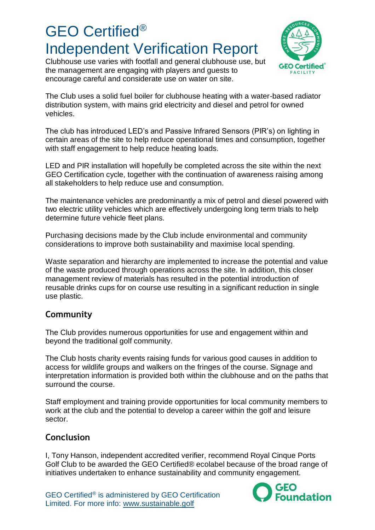Clubhouse use varies with footfall and general clubhouse use, but the management are engaging with players and guests to encourage careful and considerate use on water on site.



The Club uses a solid fuel boiler for clubhouse heating with a water-based radiator distribution system, with mains grid electricity and diesel and petrol for owned vehicles.

The club has introduced LED's and Passive Infrared Sensors (PIR's) on lighting in certain areas of the site to help reduce operational times and consumption, together with staff engagement to help reduce heating loads.

LED and PIR installation will hopefully be completed across the site within the next GEO Certification cycle, together with the continuation of awareness raising among all stakeholders to help reduce use and consumption.

The maintenance vehicles are predominantly a mix of petrol and diesel powered with two electric utility vehicles which are effectively undergoing long term trials to help determine future vehicle fleet plans.

Purchasing decisions made by the Club include environmental and community considerations to improve both sustainability and maximise local spending.

Waste separation and hierarchy are implemented to increase the potential and value of the waste produced through operations across the site. In addition, this closer management review of materials has resulted in the potential introduction of reusable drinks cups for on course use resulting in a significant reduction in single use plastic.

### **Community**

The Club provides numerous opportunities for use and engagement within and beyond the traditional golf community.

The Club hosts charity events raising funds for various good causes in addition to access for wildlife groups and walkers on the fringes of the course. Signage and interpretation information is provided both within the clubhouse and on the paths that surround the course.

Staff employment and training provide opportunities for local community members to work at the club and the potential to develop a career within the golf and leisure sector.

### **Conclusion**

I, Tony Hanson, independent accredited verifier, recommend Royal Cinque Ports Golf Club to be awarded the GEO Certified® ecolabel because of the broad range of initiatives undertaken to enhance sustainability and community engagement.